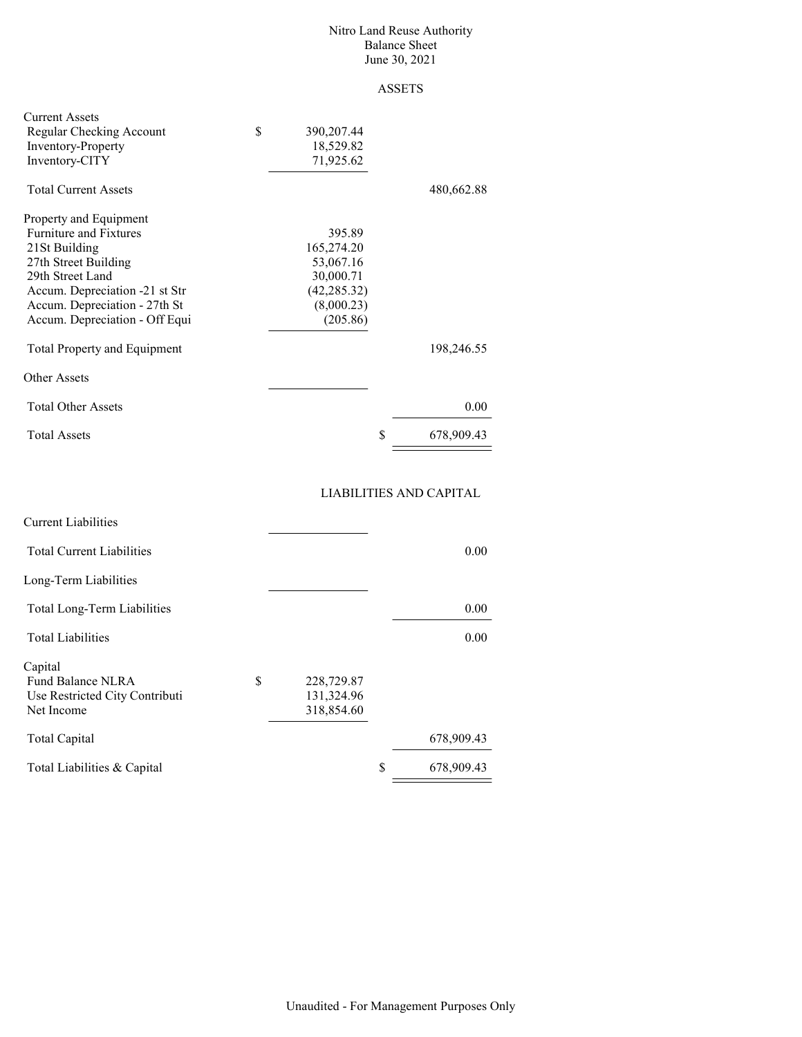#### Nitro Land Reuse Authority Balance Sheet June 30, 2021

## ASSETS

| <b>Current Assets</b><br>Regular Checking Account<br><b>Inventory-Property</b><br>Inventory-CITY | \$<br>390,207.44<br>18,529.82<br>71,925.62 |   |            |
|--------------------------------------------------------------------------------------------------|--------------------------------------------|---|------------|
| <b>Total Current Assets</b>                                                                      |                                            |   | 480,662.88 |
| Property and Equipment                                                                           |                                            |   |            |
| <b>Furniture and Fixtures</b>                                                                    | 395.89                                     |   |            |
| 21St Building                                                                                    | 165,274.20                                 |   |            |
| 27th Street Building                                                                             | 53,067.16                                  |   |            |
| 29th Street Land                                                                                 | 30,000.71                                  |   |            |
| Accum. Depreciation -21 st Str                                                                   | (42, 285.32)                               |   |            |
| Accum. Depreciation - 27th St                                                                    | (8,000.23)                                 |   |            |
| Accum. Depreciation - Off Equi                                                                   | (205.86)                                   |   |            |
| <b>Total Property and Equipment</b>                                                              |                                            |   | 198,246.55 |
| Other Assets                                                                                     |                                            |   |            |
| <b>Total Other Assets</b>                                                                        |                                            |   | 0.00       |
| <b>Total Assets</b>                                                                              |                                            | S | 678,909.43 |

## LIABILITIES AND CAPITAL

| <b>Current Liabilities</b>       |              |                  |
|----------------------------------|--------------|------------------|
| <b>Total Current Liabilities</b> |              | 0.00             |
| Long-Term Liabilities            |              |                  |
| Total Long-Term Liabilities      |              | 0.00             |
| <b>Total Liabilities</b>         |              | 0.00             |
| Capital                          |              |                  |
| S<br>Fund Balance NLRA           | 228,729.87   |                  |
| Use Restricted City Contributi   | 131, 324. 96 |                  |
| Net Income                       | 318,854.60   |                  |
| <b>Total Capital</b>             |              | 678,909.43       |
| Total Liabilities & Capital      |              | \$<br>678,909.43 |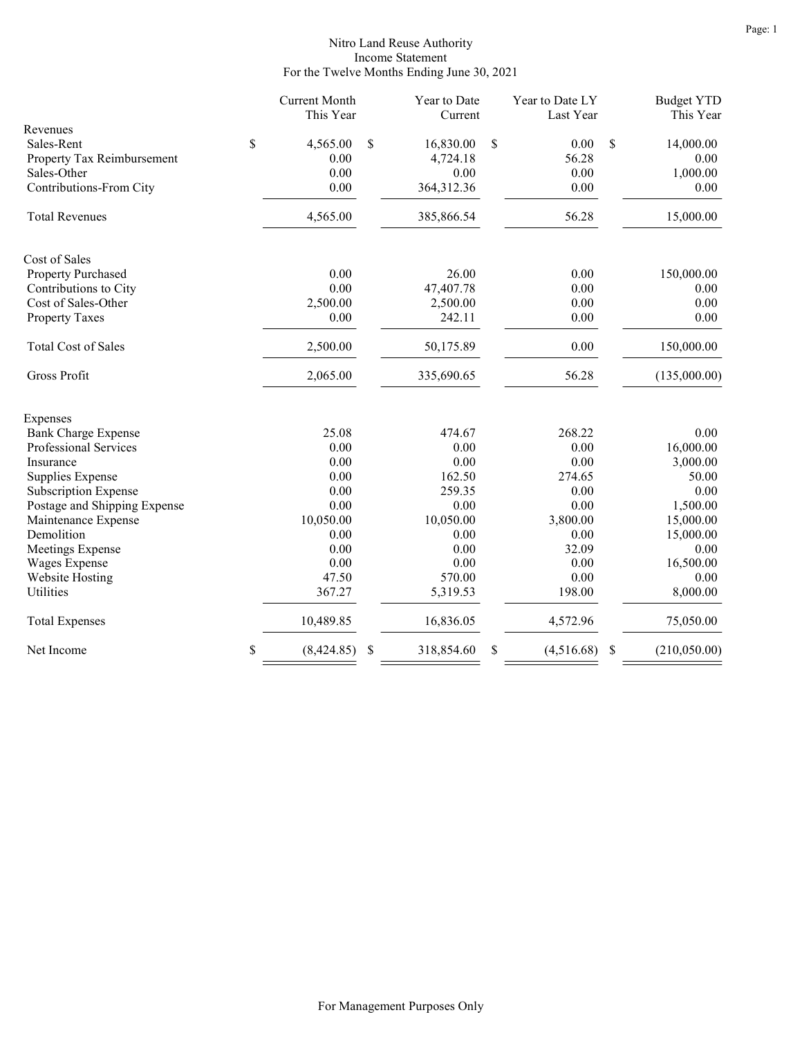### Nitro Land Reuse Authority Income Statement For the Twelve Months Ending June 30, 2021

|                              | <b>Current Month</b><br>This Year | Year to Date<br>Current | Year to Date LY<br>Last Year |   | <b>Budget YTD</b><br>This Year |
|------------------------------|-----------------------------------|-------------------------|------------------------------|---|--------------------------------|
| Revenues                     |                                   |                         |                              |   |                                |
| Sales-Rent                   | \$<br>4,565.00                    | \$<br>16,830.00         | \$<br>0.00                   | S | 14,000.00                      |
| Property Tax Reimbursement   | 0.00                              | 4,724.18                | 56.28                        |   | 0.00                           |
| Sales-Other                  | 0.00                              | 0.00                    | 0.00                         |   | 1,000.00                       |
| Contributions-From City      | 0.00                              | 364,312.36              | 0.00                         |   | 0.00                           |
| <b>Total Revenues</b>        | 4,565.00                          | 385,866.54              | 56.28                        |   | 15,000.00                      |
| Cost of Sales                |                                   |                         |                              |   |                                |
| Property Purchased           | 0.00                              | 26.00                   | 0.00                         |   | 150,000.00                     |
| Contributions to City        | 0.00                              | 47,407.78               | 0.00                         |   | 0.00                           |
| Cost of Sales-Other          | 2,500.00                          | 2,500.00                | 0.00                         |   | 0.00                           |
| <b>Property Taxes</b>        | 0.00                              | 242.11                  | 0.00                         |   | 0.00                           |
| <b>Total Cost of Sales</b>   | 2,500.00                          | 50,175.89               | 0.00                         |   | 150,000.00                     |
| Gross Profit                 | 2,065.00                          | 335,690.65              | 56.28                        |   | (135,000.00)                   |
| Expenses                     |                                   |                         |                              |   |                                |
| <b>Bank Charge Expense</b>   | 25.08                             | 474.67                  | 268.22                       |   | 0.00                           |
| Professional Services        | 0.00                              | 0.00                    | 0.00                         |   | 16,000.00                      |
| Insurance                    | 0.00                              | 0.00                    | 0.00                         |   | 3,000.00                       |
| Supplies Expense             | 0.00                              | 162.50                  | 274.65                       |   | 50.00                          |
| <b>Subscription Expense</b>  | 0.00                              | 259.35                  | 0.00                         |   | 0.00                           |
| Postage and Shipping Expense | 0.00                              | 0.00                    | 0.00                         |   | 1,500.00                       |
| Maintenance Expense          | 10,050.00                         | 10,050.00               | 3,800.00                     |   | 15,000.00                      |
| Demolition                   | 0.00                              | 0.00                    | 0.00                         |   | 15,000.00                      |
| Meetings Expense             | 0.00                              | 0.00                    | 32.09                        |   | 0.00                           |
| Wages Expense                | 0.00                              | 0.00                    | 0.00                         |   | 16,500.00                      |
| Website Hosting              | 47.50                             | 570.00                  | 0.00                         |   | 0.00                           |
| Utilities                    | 367.27                            | 5,319.53                | 198.00                       |   | 8,000.00                       |
| <b>Total Expenses</b>        | 10,489.85                         | 16,836.05               | 4,572.96                     |   | 75,050.00                      |
| Net Income                   | \$<br>(8,424.85)                  | \$<br>318,854.60        | \$<br>(4,516.68)             | S | (210,050.00)                   |
|                              |                                   |                         |                              |   |                                |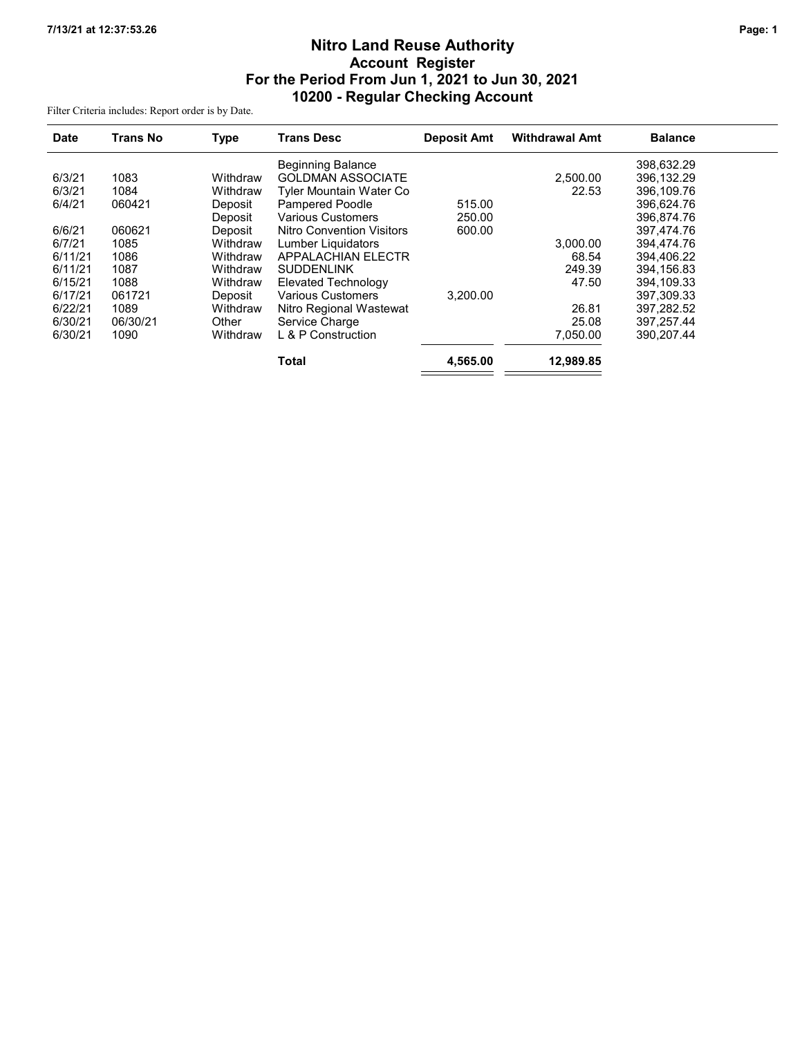# Nitro Land Reuse Authority Account Register For the Period From Jun 1, 2021 to Jun 30, 2021 10200 - Regular Checking Account

Filter Criteria includes: Report order is by Date.

| <b>Date</b> | <b>Trans No</b> | <b>Type</b> | <b>Trans Desc</b>                | <b>Deposit Amt</b> | <b>Withdrawal Amt</b> | <b>Balance</b> |
|-------------|-----------------|-------------|----------------------------------|--------------------|-----------------------|----------------|
|             |                 |             | <b>Beginning Balance</b>         |                    |                       | 398.632.29     |
| 6/3/21      | 1083            | Withdraw    | <b>GOLDMAN ASSOCIATE</b>         |                    | 2,500.00              | 396.132.29     |
| 6/3/21      | 1084            | Withdraw    | Tyler Mountain Water Co          |                    | 22.53                 | 396.109.76     |
| 6/4/21      | 060421          | Deposit     | <b>Pampered Poodle</b>           | 515.00             |                       | 396.624.76     |
|             |                 | Deposit     | <b>Various Customers</b>         | 250.00             |                       | 396,874.76     |
| 6/6/21      | 060621          | Deposit     | <b>Nitro Convention Visitors</b> | 600.00             |                       | 397.474.76     |
| 6/7/21      | 1085            | Withdraw    | Lumber Liquidators               |                    | 3,000.00              | 394,474.76     |
| 6/11/21     | 1086            | Withdraw    | <b>APPALACHIAN ELECTR</b>        |                    | 68.54                 | 394,406.22     |
| 6/11/21     | 1087            | Withdraw    | <b>SUDDENLINK</b>                |                    | 249.39                | 394,156.83     |
| 6/15/21     | 1088            | Withdraw    | Elevated Technology              |                    | 47.50                 | 394,109.33     |
| 6/17/21     | 061721          | Deposit     | <b>Various Customers</b>         | 3.200.00           |                       | 397.309.33     |
| 6/22/21     | 1089            | Withdraw    | Nitro Regional Wastewat          |                    | 26.81                 | 397,282.52     |
| 6/30/21     | 06/30/21        | Other       | Service Charge                   |                    | 25.08                 | 397, 257. 44   |
| 6/30/21     | 1090            | Withdraw    | L & P Construction               |                    | 7,050.00              | 390.207.44     |
|             |                 |             | <b>Total</b>                     | 4,565.00           | 12,989.85             |                |